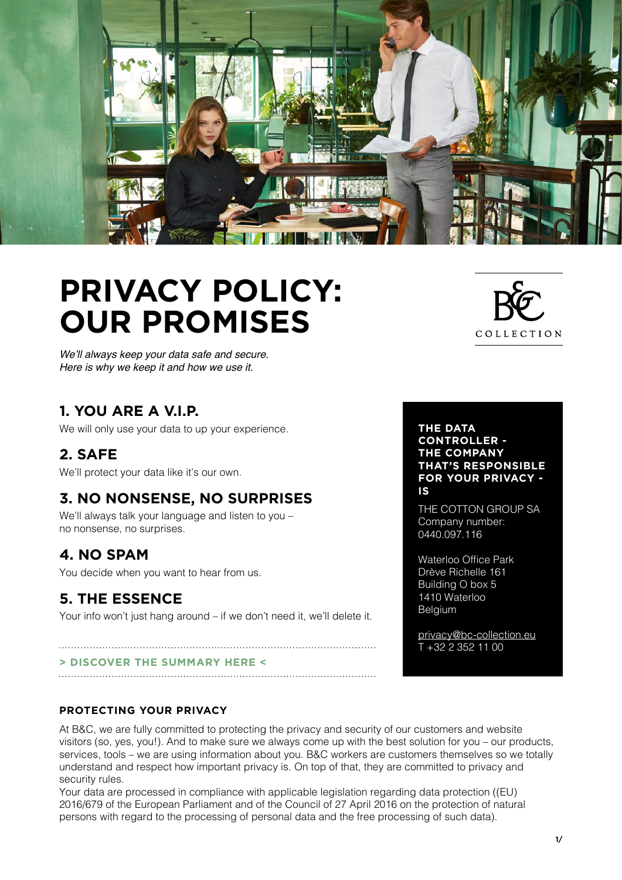

# **PRIVACY POLICY: OUR PROMISES**

We'll always keep your data safe and secure. Here is why we keep it and how we use it.

### **1. YOU ARE A V.I.P.**

We will only use your data to up your experience.

### **2. SAFE**

We'll protect your data like it's our own.

### **3. NO NONSENSE, NO SURPRISES**

We'll always talk your language and listen to you – no nonsense, no surprises.

### **4. NO SPAM**

You decide when you want to hear from us.

### **5. THE ESSENCE**

Your info won't just hang around – if we don't need it, we'll delete it.

#### **[> DISCOVER THE SUMMARY HERE <](#page-4-0)**

#### **PROTECTING YOUR PRIVACY**

At B&C, we are fully committed to protecting the privacy and security of our customers and website visitors (so, yes, you!). And to make sure we always come up with the best solution for you – our products, services, tools – we are using information about you. B&C workers are customers themselves so we totally understand and respect how important privacy is. On top of that, they are committed to privacy and security rules.

Your data are processed in compliance with applicable legislation regarding data protection ((EU) 2016/679 of the European Parliament and of the Council of 27 April 2016 on the protection of natural persons with regard to the processing of personal data and the free processing of such data).



**THE DATA CONTROLLER - THE COMPANY THAT'S RESPONSIBLE FOR YOUR PRIVACY - IS** 

THE COTTON GROUP SA Company number: 0440.097.116

Waterloo Office Park Drève Richelle 161 Building O box 5 1410 Waterloo Belgium

[privacy@bc-collection.eu](mailto:privacy@bc-collection.eu) T +32 2 352 11 00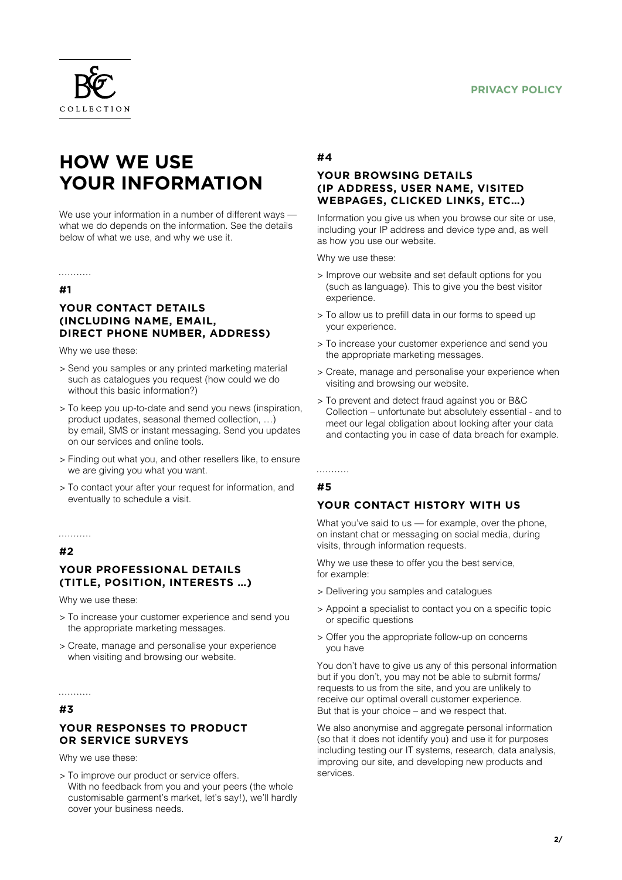

## **HOW WE USE YOUR INFORMATION**

We use your information in a number of different ways what we do depends on the information. See the details below of what we use, and why we use it.

#### **#1**

. . . . . . . . . . .

#### **YOUR CONTACT DETAILS (INCLUDING NAME, EMAIL, DIRECT PHONE NUMBER, ADDRESS)**

Why we use these:

- > Send you samples or any printed marketing material such as catalogues you request (how could we do without this basic information?)
- > To keep you up-to-date and send you news (inspiration, product updates, seasonal themed collection, …) by email, SMS or instant messaging. Send you updates on our services and online tools.
- > Finding out what you, and other resellers like, to ensure we are giving you what you want.
- > To contact your after your request for information, and eventually to schedule a visit.

#### . . . . . . . . . . .

#### **#2**

#### **YOUR PROFESSIONAL DETAILS (TITLE, POSITION, INTERESTS …)**

Why we use these:

- > To increase your customer experience and send you the appropriate marketing messages.
- > Create, manage and personalise your experience when visiting and browsing our website.

#### . . . . . . . . . . .

#### **#3**

#### **YOUR RESPONSES TO PRODUCT OR SERVICE SURVEYS**

Why we use these:

> To improve our product or service offers. With no feedback from you and your peers (the whole customisable garment's market, let's say!), we'll hardly cover your business needs.

#### **#4**

#### **YOUR BROWSING DETAILS (IP ADDRESS, USER NAME, VISITED WEBPAGES, CLICKED LINKS, ETC…)**

Information you give us when you browse our site or use, including your IP address and device type and, as well as how you use our website.

Why we use these:

- > Improve our website and set default options for you (such as language). This to give you the best visitor experience.
- > To allow us to prefill data in our forms to speed up your experience.
- > To increase your customer experience and send you the appropriate marketing messages.
- > Create, manage and personalise your experience when visiting and browsing our website.
- > To prevent and detect fraud against you or B&C Collection – unfortunate but absolutely essential - and to meet our legal obligation about looking after your data and contacting you in case of data breach for example.

#### . . . . . . . . . . .

#### **#5**

#### **YOUR CONTACT HISTORY WITH US**

What you've said to us — for example, over the phone, on instant chat or messaging on social media, during visits, through information requests.

Why we use these to offer you the best service, for example:

- > Delivering you samples and catalogues
- > Appoint a specialist to contact you on a specific topic or specific questions
- > Offer you the appropriate follow-up on concerns you have

You don't have to give us any of this personal information but if you don't, you may not be able to submit forms/ requests to us from the site, and you are unlikely to receive our optimal overall customer experience. But that is your choice – and we respect that.

We also anonymise and aggregate personal information (so that it does not identify you) and use it for purposes including testing our IT systems, research, data analysis, improving our site, and developing new products and services.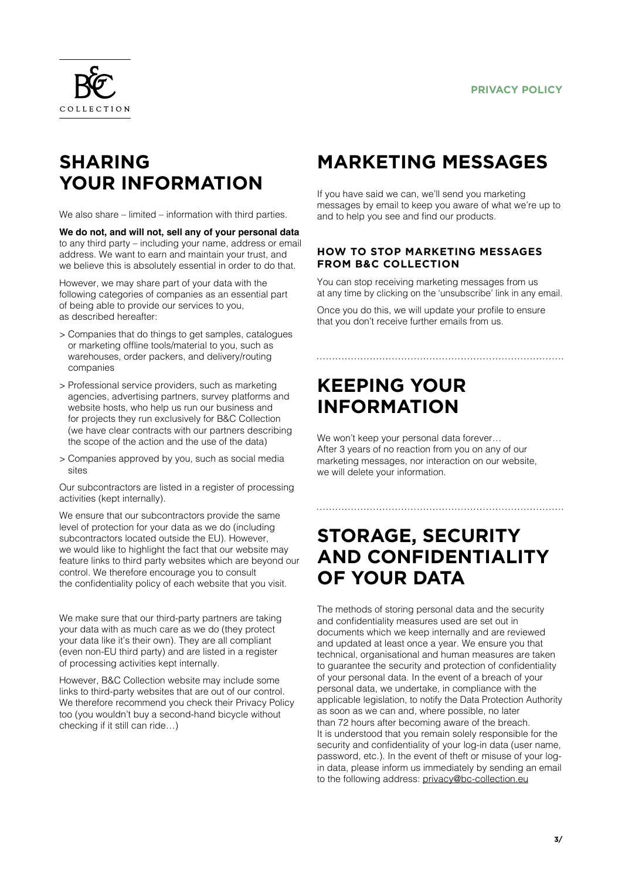

## **SHARING YOUR INFORMATION**

We also share – limited – information with third parties.

**We do not, and will not, sell any of your personal data** to any third party – including your name, address or email address. We want to earn and maintain your trust, and we believe this is absolutely essential in order to do that.

However, we may share part of your data with the following categories of companies as an essential part of being able to provide our services to you, as described hereafter:

- > Companies that do things to get samples, catalogues or marketing offline tools/material to you, such as warehouses, order packers, and delivery/routing companies
- > Professional service providers, such as marketing agencies, advertising partners, survey platforms and website hosts, who help us run our business and for projects they run exclusively for B&C Collection (we have clear contracts with our partners describing the scope of the action and the use of the data)
- > Companies approved by you, such as social media sites

Our subcontractors are listed in a register of processing activities (kept internally).

We ensure that our subcontractors provide the same level of protection for your data as we do (including subcontractors located outside the EU). However, we would like to highlight the fact that our website may feature links to third party websites which are beyond our control. We therefore encourage you to consult the confidentiality policy of each website that you visit.

We make sure that our third-party partners are taking your data with as much care as we do (they protect your data like it's their own). They are all compliant (even non-EU third party) and are listed in a register of processing activities kept internally.

However, B&C Collection website may include some links to third-party websites that are out of our control. We therefore recommend you check their Privacy Policy too (you wouldn't buy a second-hand bicycle without checking if it still can ride…)

## **MARKETING MESSAGES**

If you have said we can, we'll send you marketing messages by email to keep you aware of what we're up to and to help you see and find our products.

#### **HOW TO STOP MARKETING MESSAGES FROM B&C COLLECTION**

You can stop receiving marketing messages from us at any time by clicking on the 'unsubscribe' link in any email.

Once you do this, we will update your profile to ensure that you don't receive further emails from us.

## **KEEPING YOUR INFORMATION**

We won't keep your personal data forever… After 3 years of no reaction from you on any of our marketing messages, nor interaction on our website, we will delete your information.

### **STORAGE, SECURITY AND CONFIDENTIALITY OF YOUR DATA**

The methods of storing personal data and the security and confidentiality measures used are set out in documents which we keep internally and are reviewed and updated at least once a year. We ensure you that technical, organisational and human measures are taken to guarantee the security and protection of confidentiality of your personal data. In the event of a breach of your personal data, we undertake, in compliance with the applicable legislation, to notify the Data Protection Authority as soon as we can and, where possible, no later than 72 hours after becoming aware of the breach. It is understood that you remain solely responsible for the security and confidentiality of your log-in data (user name, password, etc.). In the event of theft or misuse of your login data, please inform us immediately by sending an email to the following address: [privacy@bc-collection.eu](mailto:privacy@bc-collection.eu)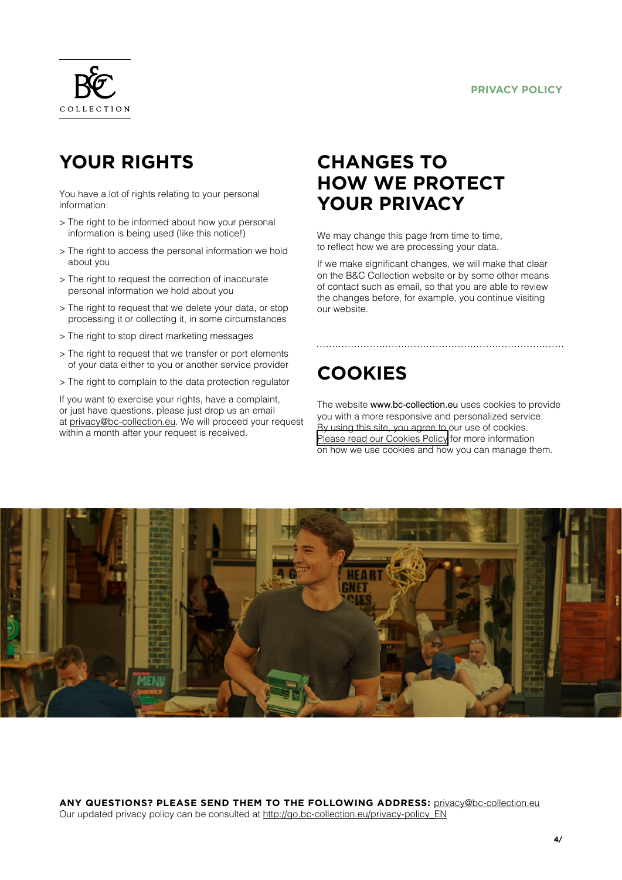#### **PRIVACY POLICY**



## **YOUR RIGHTS**

You have a lot of rights relating to your personal information:

- > The right to be informed about how your personal information is being used (like this notice!)
- > The right to access the personal information we hold about you
- > The right to request the correction of inaccurate personal information we hold about you
- > The right to request that we delete your data, or stop processing it or collecting it, in some circumstances
- > The right to stop direct marketing messages
- > The right to request that we transfer or port elements of your data either to you or another service provider
- > The right to complain to the data protection regulator

If you want to exercise your rights, have a complaint, or just have questions, please just drop us an email at [privacy@bc-collection.eu. W](mailto:privacy@bc-collection.eu)e will proceed your request within a month after your request is received.

### **CHANGES TO HOW WE PROTECT YOUR PRIVACY**

We may change this page from time to time, to reflect how we are processing your data.

If we make significant changes, we will make that clear on the B&C Collection website or by some other means of contact such as email, so that you are able to review the changes before, for example, you continue visiting our website.

### **COOKIES**

The website [www.bc-collection.eu](http://www.bc-collection.eu) uses cookies to provide you with a more responsive and personalized service. By using this site, you agree to our use of cookies. [Please read our Cookies Policy](http://go.bc-collection.eu/cookie-policy_EN) for more information on how we use cookies and how you can manage them.



**ANY QUESTIONS? PLEASE SEND THEM TO THE FOLLOWING ADDRESS:** [privacy@bc-collection.eu](mailto:privacy@bc-collection.eu) Our updated privacy policy can be consulted at [http://go.bc-collection.eu/privacy-policy\\_EN](http://go.bc-collection.eu/privacy-policy_EN)